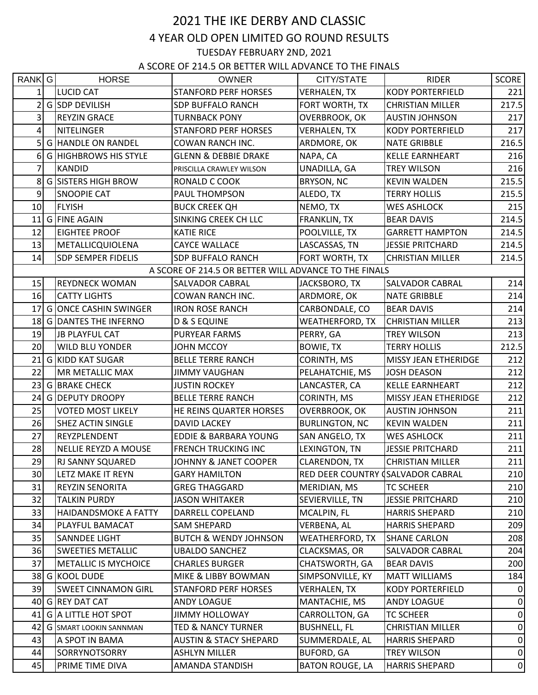## 2021 THE IKE DERBY AND CLASSIC 4 YEAR OLD OPEN LIMITED GO ROUND RESULTS TUESDAY FEBRUARY 2ND, 2021

A SCORE OF 214.5 OR BETTER WILL ADVANCE TO THE FINALS

| RANK G         | <b>HORSE</b>                  | <b>OWNER</b>                                          | CITY/STATE                        | <b>RIDER</b>            | <b>SCORE</b> |
|----------------|-------------------------------|-------------------------------------------------------|-----------------------------------|-------------------------|--------------|
| $\mathbf{1}$   | LUCID CAT                     | <b>STANFORD PERF HORSES</b>                           | <b>VERHALEN, TX</b>               | <b>KODY PORTERFIELD</b> | 221          |
| $\overline{2}$ | G SDP DEVILISH                | <b>SDP BUFFALO RANCH</b>                              | FORT WORTH, TX                    | <b>CHRISTIAN MILLER</b> | 217.5        |
| $\overline{3}$ | <b>REYZIN GRACE</b>           | <b>TURNBACK PONY</b>                                  | OVERBROOK, OK                     | <b>AUSTIN JOHNSON</b>   | 217          |
| 4              | NITELINGER                    | <b>STANFORD PERF HORSES</b>                           | <b>VERHALEN, TX</b>               | <b>KODY PORTERFIELD</b> | 217          |
| 5              | <b>G HANDLE ON RANDEL</b>     | COWAN RANCH INC.                                      | ARDMORE, OK                       | <b>NATE GRIBBLE</b>     | 216.5        |
| 6              | <b>G HIGHBROWS HIS STYLE</b>  | <b>GLENN &amp; DEBBIE DRAKE</b>                       | NAPA, CA                          | <b>KELLE EARNHEART</b>  | 216          |
| 7              | KANDID                        | PRISCILLA CRAWLEY WILSON                              | UNADILLA, GA                      | <b>TREY WILSON</b>      | 216          |
| 8              | G SISTERS HIGH BROW           | RONALD C COOK                                         | BRYSON, NC                        | <b>KEVIN WALDEN</b>     | 215.5        |
| 9              | <b>SNOOPIE CAT</b>            | PAUL THOMPSON                                         | ALEDO, TX                         | <b>TERRY HOLLIS</b>     | 215.5        |
| 10             | FLYISH                        | <b>BUCK CREEK QH</b>                                  | NEMO, TX                          | <b>WES ASHLOCK</b>      | 215          |
| 11             | G FINE AGAIN                  | SINKING CREEK CH LLC                                  | FRANKLIN, TX                      | <b>BEAR DAVIS</b>       | 214.5        |
| 12             | <b>EIGHTEE PROOF</b>          | <b>KATIE RICE</b>                                     | POOLVILLE, TX                     | <b>GARRETT HAMPTON</b>  | 214.5        |
| 13             | METALLICQUIOLENA              | <b>CAYCE WALLACE</b>                                  | LASCASSAS, TN                     | <b>JESSIE PRITCHARD</b> | 214.5        |
| 14             | <b>SDP SEMPER FIDELIS</b>     | <b>SDP BUFFALO RANCH</b>                              | FORT WORTH, TX                    | <b>CHRISTIAN MILLER</b> | 214.5        |
|                |                               | A SCORE OF 214.5 OR BETTER WILL ADVANCE TO THE FINALS |                                   |                         |              |
| 15             | <b>REYDNECK WOMAN</b>         | <b>SALVADOR CABRAL</b>                                | JACKSBORO, TX                     | SALVADOR CABRAL         | 214          |
| 16             | <b>CATTY LIGHTS</b>           | COWAN RANCH INC.                                      | ARDMORE, OK                       | <b>NATE GRIBBLE</b>     | 214          |
| 17             | <b>GONCE CASHIN SWINGER</b>   | <b>IRON ROSE RANCH</b>                                | CARBONDALE, CO                    | <b>BEAR DAVIS</b>       | 214          |
|                | 18 G DANTES THE INFERNO       | <b>D &amp; S EQUINE</b>                               | WEATHERFORD, TX                   | <b>CHRISTIAN MILLER</b> | 213          |
| 19             | JB PLAYFUL CAT                | PURYEAR FARMS                                         | PERRY, GA                         | <b>TREY WILSON</b>      | 213          |
| 20             | <b>WILD BLU YONDER</b>        | JOHN MCCOY                                            | <b>BOWIE, TX</b>                  | <b>TERRY HOLLIS</b>     | 212.5        |
| 21             | G KIDD KAT SUGAR              | <b>BELLE TERRE RANCH</b>                              | CORINTH, MS                       | MISSY JEAN ETHERIDGE    | 212          |
| 22             | MR METALLIC MAX               | <b>JIMMY VAUGHAN</b>                                  | PELAHATCHIE, MS                   | <b>JOSH DEASON</b>      | 212          |
| 23             | G BRAKE CHECK                 | <b>JUSTIN ROCKEY</b>                                  | LANCASTER, CA                     | <b>KELLE EARNHEART</b>  | 212          |
| 24             | G DEPUTY DROOPY               | <b>BELLE TERRE RANCH</b>                              | CORINTH, MS                       | MISSY JEAN ETHERIDGE    | 212          |
| 25             | <b>VOTED MOST LIKELY</b>      | HE REINS QUARTER HORSES                               | <b>OVERBROOK, OK</b>              | <b>AUSTIN JOHNSON</b>   | 211          |
| 26             | <b>SHEZ ACTIN SINGLE</b>      | <b>DAVID LACKEY</b>                                   | <b>BURLINGTON, NC</b>             | <b>KEVIN WALDEN</b>     | 211          |
| 27             | REYZPLENDENT                  | EDDIE & BARBARA YOUNG                                 | SAN ANGELO, TX                    | <b>WES ASHLOCK</b>      | 211          |
| 28             | NELLIE REYZD A MOUSE          | FRENCH TRUCKING INC                                   | LEXINGTON, TN                     | <b>JESSIE PRITCHARD</b> | 211          |
| 29             | <b>RJ SANNY SQUARED</b>       | JOHNNY & JANET COOPER                                 | <b>CLARENDON, TX</b>              | <b>CHRISTIAN MILLER</b> | 211          |
| 30             | LETZ MAKE IT REYN             | <b>GARY HAMILTON</b>                                  | RED DEER COUNTRY (SALVADOR CABRAL |                         | 210          |
| 31             | REYZIN SENORITA               | <b>GREG THAGGARD</b>                                  | MERIDIAN, MS                      | <b>TC SCHEER</b>        | 210          |
| 32             | <b>TALKIN PURDY</b>           | <b>JASON WHITAKER</b>                                 | SEVIERVILLE, TN                   | <b>JESSIE PRITCHARD</b> | 210          |
| 33             | HAIDANDSMOKE A FATTY          | DARRELL COPELAND                                      | MCALPIN, FL                       | <b>HARRIS SHEPARD</b>   | 210          |
| 34             | PLAYFUL BAMACAT               | SAM SHEPARD                                           | VERBENA, AL                       | <b>HARRIS SHEPARD</b>   | 209          |
| 35             | <b>SANNDEE LIGHT</b>          | <b>BUTCH &amp; WENDY JOHNSON</b>                      | WEATHERFORD, TX                   | <b>SHANE CARLON</b>     | 208          |
| 36             | <b>SWEETIES METALLIC</b>      | <b>UBALDO SANCHEZ</b>                                 | CLACKSMAS, OR                     | SALVADOR CABRAL         | 204          |
| 37             | <b>METALLIC IS MYCHOICE</b>   | <b>CHARLES BURGER</b>                                 | CHATSWORTH, GA                    | <b>BEAR DAVIS</b>       | 200          |
|                | 38 G KOOL DUDE                | MIKE & LIBBY BOWMAN                                   | SIMPSONVILLE, KY                  | <b>MATT WILLIAMS</b>    | 184          |
| 39             | <b>SWEET CINNAMON GIRL</b>    | <b>STANFORD PERF HORSES</b>                           | VERHALEN, TX                      | <b>KODY PORTERFIELD</b> | 0            |
|                | 40 G REY DAT CAT              | ANDY LOAGUE                                           | MANTACHIE, MS                     | ANDY LOAGUE             | 0            |
|                | 41 G A LITTLE HOT SPOT        | <b>JIMMY HOLLOWAY</b>                                 | CARROLLTON, GA                    | <b>TC SCHEER</b>        | 0            |
| 42             | <b>G SMART LOOKIN SANNMAN</b> | <b>TED &amp; NANCY TURNER</b>                         | <b>BUSHNELL, FL</b>               | <b>CHRISTIAN MILLER</b> | 0            |
| 43             | A SPOT IN BAMA                | <b>AUSTIN &amp; STACY SHEPARD</b>                     | SUMMERDALE, AL                    | <b>HARRIS SHEPARD</b>   | 0            |
| 44             | <b>SORRYNOTSORRY</b>          | <b>ASHLYN MILLER</b>                                  | <b>BUFORD, GA</b>                 | TREY WILSON             | 0            |
| 45             | PRIME TIME DIVA               | AMANDA STANDISH                                       | <b>BATON ROUGE, LA</b>            | <b>HARRIS SHEPARD</b>   | $\mathbf 0$  |